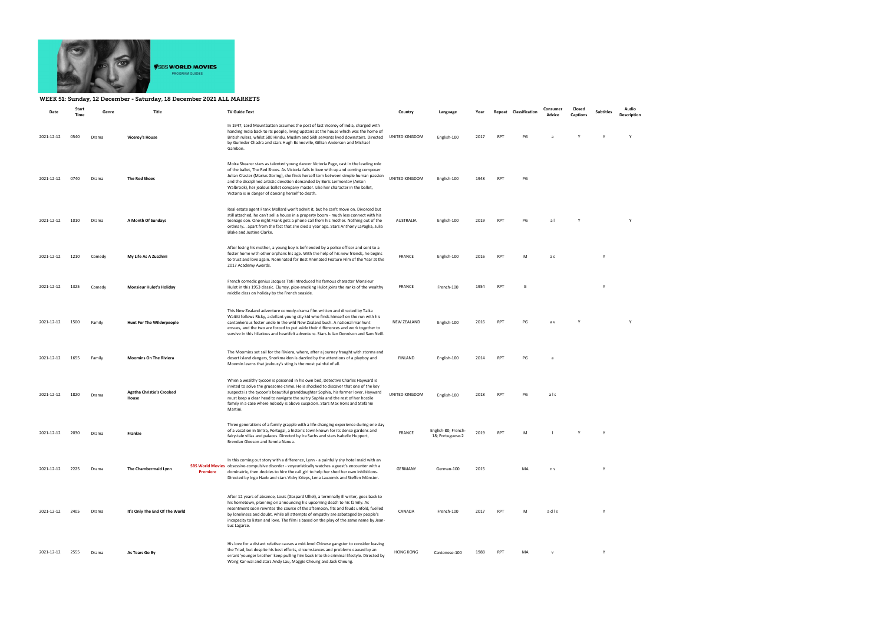

## WEEK 51: Sunday, 12 December - Saturday, 18 December 2021 ALL MARKETS

| Date       | Start<br>Time | Genre  | Title                                     |          | <b>TV Guide Text</b>                                                                                                                                                                                                                                                                                                                                                                                                                                                                    | Country            | Language                                | Year | Repeat     | Classification | Consumer<br>Advice | Closed<br>Captions | <b>Subtitles</b> | Audio<br>Description |
|------------|---------------|--------|-------------------------------------------|----------|-----------------------------------------------------------------------------------------------------------------------------------------------------------------------------------------------------------------------------------------------------------------------------------------------------------------------------------------------------------------------------------------------------------------------------------------------------------------------------------------|--------------------|-----------------------------------------|------|------------|----------------|--------------------|--------------------|------------------|----------------------|
| 2021-12-12 | 0540          | Drama  | <b>Viceroy's House</b>                    |          | In 1947, Lord Mountbatten assumes the post of last Viceroy of India, charged with<br>handing India back to its people, living upstairs at the house which was the home of<br>British rulers, whilst 500 Hindu, Muslim and Sikh servants lived downstairs. Directed<br>by Gurinder Chadra and stars Hugh Bonneville, Gillian Anderson and Michael<br>Gambon.                                                                                                                             | UNITED KINGDOM     | English-100                             | 2017 | <b>RPT</b> | PG             | a                  |                    |                  | Y                    |
| 2021-12-12 | 0740          | Drama  | <b>The Red Shoes</b>                      |          | Moira Shearer stars as talented young dancer Victoria Page, cast in the leading role<br>of the ballet, The Red Shoes. As Victoria falls in love with up and coming composer<br>Julian Craster (Marius Goring), she finds herself torn between simple human passion<br>and the disciplined artistic devotion demanded by Boris Lermontov (Anton<br>Walbrook), her jealous ballet company master. Like her character in the ballet,<br>Victoria is in danger of dancing herself to death. | UNITED KINGDOM     | English-100                             | 1948 | <b>RPT</b> | PG             |                    |                    |                  |                      |
| 2021-12-12 | 1010          | Drama  | A Month Of Sundays                        |          | Real estate agent Frank Mollard won't admit it, but he can't move on. Divorced but<br>still attached, he can't sell a house in a property boom - much less connect with his<br>teenage son. One night Frank gets a phone call from his mother. Nothing out of the<br>ordinary apart from the fact that she died a year ago. Stars Anthony LaPaglia, Julia<br>Blake and Justine Clarke.                                                                                                  | AUSTRALIA          | English-100                             | 2019 | <b>RPT</b> | PG             | al                 | Y                  |                  | Y                    |
| 2021-12-12 | 1210          | Comedy | My Life As A Zucchini                     |          | After losing his mother, a young boy is befriended by a police officer and sent to a<br>foster home with other orphans his age. With the help of his new friends, he begins<br>to trust and love again. Nominated for Best Animated Feature Film of the Year at the<br>2017 Academy Awards.                                                                                                                                                                                             | <b>FRANCE</b>      | English-100                             | 2016 | <b>RPT</b> | M              | a s                |                    |                  |                      |
| 2021-12-12 | 1325          | Comedy | <b>Monsieur Hulot's Holiday</b>           |          | French comedic genius Jacques Tati introduced his famous character Monsieur<br>Hulot in this 1953 classic. Clumsy, pipe-smoking Hulot joins the ranks of the wealthy<br>middle class on holiday by the French seaside.                                                                                                                                                                                                                                                                  | <b>FRANCE</b>      | French-100                              | 1954 | <b>RPT</b> | G              |                    |                    | Y                |                      |
| 2021-12-12 | 1500          | Family | <b>Hunt For The Wilderpeople</b>          |          | This New Zealand adventure comedy-drama film written and directed by Taika<br>Waititi follows Ricky, a defiant young city kid who finds himself on the run with his<br>cantankerous foster uncle in the wild New Zealand bush. A national manhunt<br>ensues, and the two are forced to put aside their differences and work together to<br>survive in this hilarious and heartfelt adventure. Stars Julian Dennison and Sam Neill.                                                      | <b>NEW ZEALAND</b> | English-100                             | 2016 | <b>RPT</b> | PG             | a v                |                    |                  | $\mathsf{v}$         |
| 2021-12-12 | 1655          | Family | <b>Moomins On The Riviera</b>             |          | The Moomins set sail for the Riviera, where, after a journey fraught with storms and<br>desert island dangers, Snorkmaiden is dazzled by the attentions of a playboy and<br>Moomin learns that jealousy's sting is the most painful of all.                                                                                                                                                                                                                                             | <b>FINLAND</b>     | English-100                             | 2014 | <b>RPT</b> | PG             | a                  |                    |                  |                      |
| 2021-12-12 | 1820          | Drama  | <b>Agatha Christie's Crooked</b><br>House |          | When a wealthy tycoon is poisoned in his own bed, Detective Charles Hayward is<br>invited to solve the gruesome crime. He is shocked to discover that one of the key<br>suspects is the tycoon's beautiful granddaughter Sophia, his former lover. Hayward<br>must keep a clear head to navigate the sultry Sophia and the rest of her hostile<br>family in a case where nobody is above suspicion. Stars Max Irons and Stefanie<br>Martini.                                            | UNITED KINGDOM     | English-100                             | 2018 | <b>RPT</b> | PG             | als                |                    |                  |                      |
| 2021-12-12 | 2030          | Drama  | Frankie                                   |          | Three generations of a family grapple with a life-changing experience during one day<br>of a vacation in Sintra, Portugal, a historic town known for its dense gardens and<br>fairy-tale villas and palaces. Directed by Ira Sachs and stars Isabelle Huppert,<br>Brendan Gleeson and Sennia Nanua.                                                                                                                                                                                     | <b>FRANCE</b>      | English-80; French-<br>18; Portuguese-2 | 2019 | <b>RPT</b> | M              |                    |                    | Y                |                      |
| 2021-12-12 | 2225          | Drama  | The Chambermaid Lynn                      | Premiere | In this coming out story with a difference, Lynn - a painfully shy hotel maid with an<br>SBS World Movies obsessive-compulsive disorder - voyeuristically watches a guest's encounter with a<br>dominatrix, then decides to hire the call girl to help her shed her own inhibitions.<br>Directed by Ingo Haeb and stars Vicky Krieps, Lena Lauzemis and Steffen Münster.                                                                                                                | <b>GERMANY</b>     | German-100                              | 2015 |            | MA             | n s                |                    |                  |                      |
| 2021-12-12 | 2405          | Drama  | It's Only The End Of The World            |          | After 12 years of absence, Louis (Gaspard Ulliel), a terminally ill writer, goes back to<br>his hometown, planning on announcing his upcoming death to his family. As<br>resentment soon rewrites the course of the afternoon, fits and feuds unfold, fuelled<br>by loneliness and doubt, while all attempts of empathy are sabotaged by people's<br>incapacity to listen and love. The film is based on the play of the same name by Jean-<br>Luc Lagarce.                             | CANADA             | French-100                              | 2017 | <b>RPT</b> | M              | adis               |                    |                  |                      |
| 2021-12-12 | 2555          | Drama  | As Tears Go By                            |          | His love for a distant relative causes a mid-level Chinese gangster to consider leaving<br>the Triad, but despite his best efforts, circumstances and problems caused by an<br>errant 'younger brother' keep pulling him back into the criminal lifestyle. Directed by<br>Wong Kar-wai and stars Andy Lau, Maggie Cheung and Jack Cheung.                                                                                                                                               | <b>HONG KONG</b>   | Cantonese-100                           | 1988 | <b>RPT</b> | MA             | $\mathsf{v}$       |                    | Y                |                      |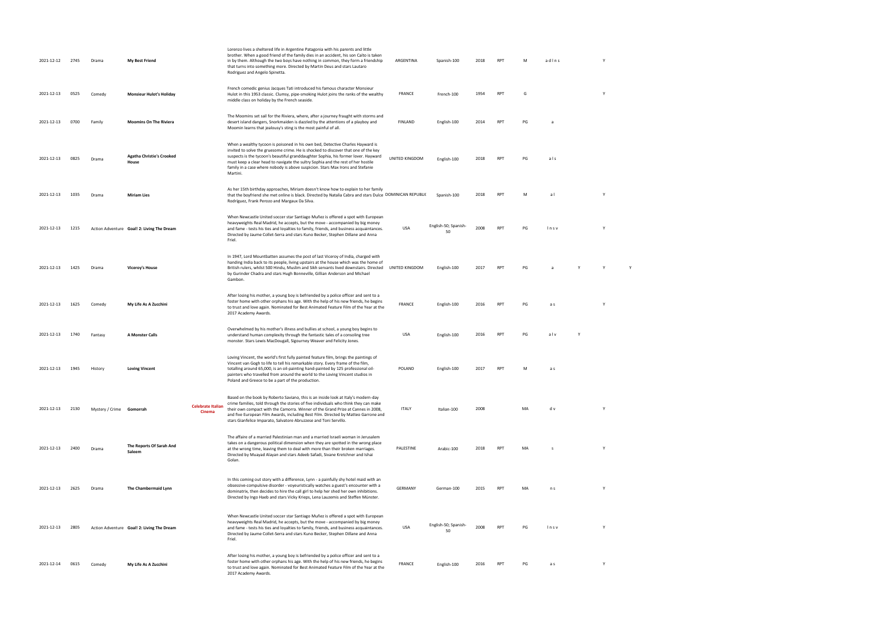| 2021-12-12 | 2745 | Drama                    | <b>My Best Friend</b>                      |                                    | Lorenzo lives a sheltered life in Argentine Patagonia with his parents and little<br>brother. When a good friend of the family dies in an accident, his son Caíto is taken<br>in by them. Although the two boys have nothing in common, they form a friendship<br>that turns into something more. Directed by Martin Deus and stars Lautaro<br>Rodriguez and Angelo Spinetta.                                                                | ARGENTINA      | Spanish-100                | 2018 | RPT        | M  | adlns |  |   |  |  |
|------------|------|--------------------------|--------------------------------------------|------------------------------------|----------------------------------------------------------------------------------------------------------------------------------------------------------------------------------------------------------------------------------------------------------------------------------------------------------------------------------------------------------------------------------------------------------------------------------------------|----------------|----------------------------|------|------------|----|-------|--|---|--|--|
| 2021-12-13 | 0525 | Comedy                   | <b>Monsieur Hulot's Holiday</b>            |                                    | French comedic genius Jacques Tati introduced his famous character Monsieur<br>Hulot in this 1953 classic. Clumsy, pipe-smoking Hulot joins the ranks of the wealthy<br>middle class on holiday by the French seaside.                                                                                                                                                                                                                       | FRANCE         | French-100                 | 1954 | RPT        | G  |       |  |   |  |  |
| 2021-12-13 | 0700 | Family                   | <b>Moomins On The Riviera</b>              |                                    | The Moomins set sail for the Riviera, where, after a journey fraught with storms and<br>desert island dangers, Snorkmaiden is dazzled by the attentions of a playboy and<br>Moomin learns that jealousy's sting is the most painful of all.                                                                                                                                                                                                  | <b>FINLAND</b> | English-100                | 2014 | RPT        | PG |       |  |   |  |  |
| 2021-12-13 | 0825 | Drama                    | <b>Agatha Christie's Crooked</b><br>House  |                                    | When a wealthy tycoon is poisoned in his own bed, Detective Charles Hayward is<br>invited to solve the gruesome crime. He is shocked to discover that one of the key<br>suspects is the tycoon's beautiful granddaughter Sophia, his former lover. Hayward<br>must keep a clear head to navigate the sultry Sophia and the rest of her hostile<br>family in a case where nobody is above suspicion. Stars Max Irons and Stefanie<br>Martini. | UNITED KINGDOM | English-100                | 2018 | RPT        | PG | als   |  |   |  |  |
| 2021-12-13 | 1035 | Drama                    | <b>Miriam Lies</b>                         |                                    | As her 15th birthday approaches, Miriam doesn't know how to explain to her family<br>that the boyfriend she met online is black. Directed by Natalia Cabra and stars Dulce DOMINICAN REPUBLIC<br>Rodríguez, Frank Perozo and Margaux Da Silva.                                                                                                                                                                                               |                | Spanish-100                | 2018 | <b>RPT</b> | M  | al    |  |   |  |  |
| 2021-12-13 | 1215 |                          | Action Adventure Goal! 2: Living The Dream |                                    | When Newcastle United soccer star Santiago Muñez is offered a spot with European<br>heavyweights Real Madrid, he accepts, but the move - accompanied by big money<br>and fame - tests his ties and loyalties to family, friends, and business acquaintances.<br>Directed by Jaume Collet-Serra and stars Kuno Becker, Stephen Dillane and Anna<br>Friel.                                                                                     | <b>USA</b>     | English-50; Spanish-<br>50 | 2008 | <b>RPT</b> | PG | Insv  |  |   |  |  |
| 2021-12-13 | 1425 | Drama                    | <b>Viceroy's House</b>                     |                                    | In 1947, Lord Mountbatten assumes the post of last Viceroy of India, charged with<br>handing India back to its people, living upstairs at the house which was the home of<br>British rulers, whilst 500 Hindu, Muslim and Sikh servants lived downstairs. Directed UNITED KINGDOM<br>by Gurinder Chadra and stars Hugh Bonneville, Gillian Anderson and Michael<br>Gambon.                                                                   |                | English-100                | 2017 | <b>RPT</b> | PG |       |  | Y |  |  |
| 2021-12-13 | 1625 | Comedy                   | My Life As A Zucchini                      |                                    | After losing his mother, a young boy is befriended by a police officer and sent to a<br>foster home with other orphans his age. With the help of his new friends, he begins<br>to trust and love again. Nominated for Best Animated Feature Film of the Year at the<br>2017 Academy Awards.                                                                                                                                                  | FRANCE         | English-100                | 2016 | <b>RPT</b> | PG | a s   |  |   |  |  |
| 2021-12-13 | 1740 | Fantasy                  | A Monster Calls                            |                                    | Overwhelmed by his mother's illness and bullies at school, a young boy begins to<br>understand human complexity through the fantastic tales of a consoling tree<br>monster. Stars Lewis MacDougall, Sigourney Weaver and Felicity Jones.                                                                                                                                                                                                     | <b>USA</b>     | English-100                | 2016 | <b>RPT</b> | PG | alv   |  |   |  |  |
| 2021-12-13 | 1945 | History                  | <b>Loving Vincent</b>                      |                                    | Loving Vincent, the world's first fully painted feature film, brings the paintings of<br>Vincent van Gogh to life to tell his remarkable story. Every frame of the film,<br>totalling around 65,000, is an oil-painting hand-painted by 125 professional oil-<br>painters who travelled from around the world to the Loving Vincent studios in<br>Poland and Greece to be a part of the production.                                          | POLAND         | English-100                | 2017 | <b>RPT</b> | M  | a s   |  |   |  |  |
| 2021-12-13 | 2130 | Mystery / Crime Gomorrah |                                            | <b>Celebrate Italian</b><br>Cinema | Based on the book by Roberto Saviano, this is an inside look at Italy's modern-day<br>crime families, told through the stories of five individuals who think they can make<br>their own compact with the Camorra. Winner of the Grand Prize at Cannes in 2008,<br>and five European Film Awards, including Best Film. Directed by Matteo Garrone and<br>stars Gianfelice Imparato, Salvatore Abruzzese and Toni Servillo.                    | <b>ITALY</b>   | Italian-100                | 2008 |            | MA | d v   |  |   |  |  |
| 2021-12-13 | 2400 | Drama                    | The Reports Of Sarah And<br>Saleem         |                                    | The affaire of a married Palestinian man and a married Israeli woman in Jerusalem<br>takes on a dangerous political dimension when they are spotted in the wrong place<br>at the wrong time, leaving them to deal with more than their broken marriages.<br>Directed by Muayad Alayan and stars Adeeb Safadi, Sivane Kretchner and Ishai<br>Golan.                                                                                           | PALESTINE      | Arabic-100                 | 2018 | RPT        | MA | -S    |  |   |  |  |
| 2021-12-13 | 2625 | Drama                    | The Chambermaid Lynn                       |                                    | In this coming out story with a difference, Lynn - a painfully shy hotel maid with an<br>obsessive-compulsive disorder - voyeuristically watches a guest's encounter with a<br>dominatrix, then decides to hire the call girl to help her shed her own inhibitions.<br>Directed by Ingo Haeb and stars Vicky Krieps, Lena Lauzemis and Steffen Münster.                                                                                      | GERMANY        | German-100                 | 2015 | <b>RPT</b> | MA | n s   |  |   |  |  |
| 2021-12-13 | 2805 |                          | Action Adventure Goal! 2: Living The Dream |                                    | When Newcastle United soccer star Santiago Muñez is offered a spot with European<br>heavyweights Real Madrid, he accepts, but the move - accompanied by big money<br>and fame - tests his ties and loyalties to family, friends, and business acquaintances.<br>Directed by Jaume Collet-Serra and stars Kuno Becker, Stephen Dillane and Anna<br>Friel.                                                                                     | <b>USA</b>     | English-50; Spanish-<br>50 | 2008 | <b>RPT</b> | PG | Insv  |  |   |  |  |
| 2021-12-14 | 0615 | Comedy                   | My Life As A Zucchini                      |                                    | After losing his mother, a young boy is befriended by a police officer and sent to a<br>foster home with other orphans his age. With the help of his new friends, he begins<br>to trust and love again. Nominated for Best Animated Feature Film of the Year at the<br>2017 Academy Awards.                                                                                                                                                  | FRANCE         | English-100                | 2016 | RPT        | PG | a s   |  |   |  |  |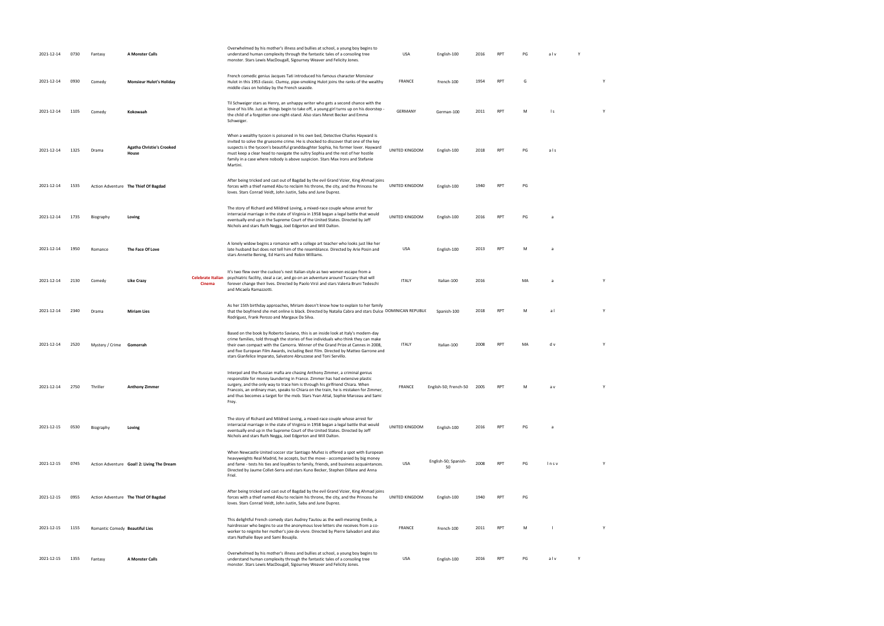| 2021-12-14 | 0730 | Fantasy                        | A Monster Calls                            |                                    | Overwhelmed by his mother's illness and bullies at school, a young boy begins to<br>understand human complexity through the fantastic tales of a consoling tree<br>monster. Stars Lewis MacDougall, Sigourney Weaver and Felicity Jones.                                                                                                                                                                                                     | <b>USA</b>     | English-100                | 2016 | <b>RPT</b>      | PG | alv  |   |   |
|------------|------|--------------------------------|--------------------------------------------|------------------------------------|----------------------------------------------------------------------------------------------------------------------------------------------------------------------------------------------------------------------------------------------------------------------------------------------------------------------------------------------------------------------------------------------------------------------------------------------|----------------|----------------------------|------|-----------------|----|------|---|---|
| 2021-12-14 | 0930 | Comedy                         | <b>Monsieur Hulot's Holiday</b>            |                                    | French comedic genius Jacques Tati introduced his famous character Monsieur<br>Hulot in this 1953 classic. Clumsy, pipe-smoking Hulot joins the ranks of the wealthy<br>middle class on holiday by the French seaside.                                                                                                                                                                                                                       | FRANCE         | French-100                 | 1954 | <b>RPT</b>      | G  |      |   | Y |
| 2021-12-14 | 1105 | Comedy                         | Kokowaah                                   |                                    | Til Schweiger stars as Henry, an unhappy writer who gets a second chance with the<br>love of his life. Just as things begin to take off, a young girl turns up on his doorstep -<br>the child of a forgotten one-night-stand. Also stars Meret Becker and Emma<br>Schweiger.                                                                                                                                                                 | GERMANY        | German-100                 | 2011 | <b>RPT</b>      | M  | l s  |   | Y |
| 2021-12-14 | 1325 | Drama                          | <b>Agatha Christie's Crooked</b><br>House  |                                    | When a wealthy tycoon is poisoned in his own bed, Detective Charles Hayward is<br>invited to solve the gruesome crime. He is shocked to discover that one of the key<br>suspects is the tycoon's beautiful granddaughter Sophia, his former lover. Hayward<br>must keep a clear head to navigate the sultry Sophia and the rest of her hostile<br>family in a case where nobody is above suspicion. Stars Max Irons and Stefanie<br>Martini. | UNITED KINGDOM | English-100                | 2018 | RPT             | PG | als  |   |   |
| 2021-12-14 | 1535 |                                | Action Adventure The Thief Of Bagdad       |                                    | After being tricked and cast out of Bagdad by the evil Grand Vizier, King Ahmad joins<br>forces with a thief named Abu to reclaim his throne, the city, and the Princess he<br>loves. Stars Conrad Veidt, John Justin, Sabu and June Duprez.                                                                                                                                                                                                 | UNITED KINGDOM | English-100                | 1940 | RPT             | PG |      |   |   |
| 2021-12-14 | 1735 | Biography                      | Loving                                     |                                    | The story of Richard and Mildred Loving, a mixed-race couple whose arrest for<br>interracial marriage in the state of Virginia in 1958 began a legal battle that would<br>eventually end up in the Supreme Court of the United States. Directed by Jeff<br>Nichols and stars Ruth Negga, Joel Edgerton and Will Dalton.                                                                                                                      | UNITED KINGDOM | English-100                | 2016 | <b>RPT</b>      | PG | a    |   |   |
| 2021-12-14 | 1950 | Romance                        | The Face Of Love                           |                                    | A lonely widow begins a romance with a college art teacher who looks just like her<br>late husband but does not tell him of the resemblance. Directed by Arie Posin and<br>stars Annette Bening, Ed Harris and Robin Williams.                                                                                                                                                                                                               | USA            | English-100                | 2013 | RPT             | M  | a    |   |   |
| 2021-12-14 | 2130 | Comedy                         | <b>Like Crazy</b>                          | <b>Celebrate Italian</b><br>Cinema | It's two flew over the cuckoo's nest Italian-style as two women escape from a<br>psychiatric facility, steal a car, and go on an adventure around Tuscany that will<br>forever change their lives. Directed by Paolo Virzì and stars Valeria Bruni Tedeschi<br>and Micaela Ramazzotti.                                                                                                                                                       | <b>ITALY</b>   | Italian-100                | 2016 |                 | MA | a    |   | Y |
| 2021-12-14 | 2340 | Drama                          | <b>Miriam Lies</b>                         |                                    | As her 15th birthday approaches, Miriam doesn't know how to explain to her family<br>that the boyfriend she met online is black. Directed by Natalia Cabra and stars Dulce DOMINICAN REPUBLIC<br>Rodríguez, Frank Perozo and Margaux Da Silva.                                                                                                                                                                                               |                | Spanish-100                | 2018 | <b>RPT</b>      | M  | al   |   | Y |
| 2021-12-14 | 2520 | Mystery / Crime Gomorrah       |                                            |                                    | Based on the book by Roberto Saviano, this is an inside look at Italy's modern-day<br>crime families, told through the stories of five individuals who think they can make<br>their own compact with the Camorra. Winner of the Grand Prize at Cannes in 2008,<br>and five European Film Awards, including Best Film. Directed by Matteo Garrone and<br>stars Gianfelice Imparato, Salvatore Abruzzese and Toni Servillo.                    | <b>ITALY</b>   | Italian-100                | 2008 | <b>RPT</b>      | MA | d v  |   | Y |
| 2021-12-14 | 2750 | Thriller                       | <b>Anthony Zimmer</b>                      |                                    | Interpol and the Russian mafia are chasing Anthony Zimmer, a criminal genius<br>responsible for money laundering in France. Zimmer has had extensive plastic<br>surgery, and the only way to trace him is through his girlfriend Chiara. When<br>Francois, an ordinary man, speaks to Chiara on the train, he is mistaken for Zimmer,<br>and thus becomes a target for the mob. Stars Yvan Attal, Sophie Marceau and Sami<br>Frey.           | <b>FRANCE</b>  | English-50; French-50      | 2005 | RP <sup>-</sup> |    | a v  |   | Y |
| 2021-12-15 | 0530 | Biography                      | Loving                                     |                                    | The story of Richard and Mildred Loving, a mixed-race couple whose arrest for<br>interracial marriage in the state of Virginia in 1958 began a legal battle that would<br>eventually end up in the Supreme Court of the United States. Directed by Jeff<br>Nichols and stars Ruth Negga, Joel Edgerton and Will Dalton.                                                                                                                      | UNITED KINGDOM | English-100                | 2016 | <b>RPT</b>      | PG | a    |   |   |
| 2021-12-15 | 0745 |                                | Action Adventure Goal! 2: Living The Dream |                                    | When Newcastle United soccer star Santiago Muñez is offered a spot with European<br>heavyweights Real Madrid, he accepts, but the move - accompanied by big money<br>and fame - tests his ties and loyalties to family, friends, and business acquaintances.<br>Directed by Jaume Collet-Serra and stars Kuno Becker, Stephen Dillane and Anna<br>Friel.                                                                                     | <b>USA</b>     | English-50; Spanish-<br>50 | 2008 | <b>RPT</b>      | PG | Insv |   |   |
| 2021-12-15 | 0955 |                                | Action Adventure The Thief Of Bagdad       |                                    | After being tricked and cast out of Bagdad by the evil Grand Vizier, King Ahmad joins<br>forces with a thief named Abu to reclaim his throne, the city, and the Princess he<br>loves. Stars Conrad Veidt, John Justin, Sabu and June Duprez.                                                                                                                                                                                                 | UNITED KINGDOM | English-100                | 1940 | <b>RPT</b>      | PG |      |   |   |
| 2021-12-15 | 1155 | Romantic Comedy Beautiful Lies |                                            |                                    | This delightful French comedy stars Audrey Tautou as the well-meaning Emilie, a<br>hairdresser who begins to use the anonymous love letters she receives from a co-<br>worker to reignite her mother's joie de vivre. Directed by Pierre Salvadori and also<br>stars Nathalie Baye and Sami Bouajila.                                                                                                                                        | <b>FRANCE</b>  | French-100                 | 2011 | <b>RPT</b>      | M  |      |   | Υ |
| 2021-12-15 | 1355 | Fantasy                        | <b>A Monster Calls</b>                     |                                    | Overwhelmed by his mother's illness and bullies at school, a young boy begins to<br>understand human complexity through the fantastic tales of a consoling tree<br>monster. Stars Lewis MacDougall, Sigourney Weaver and Felicity Jones.                                                                                                                                                                                                     | USA            | English-100                | 2016 | <b>RPT</b>      | PG | alv  | Υ |   |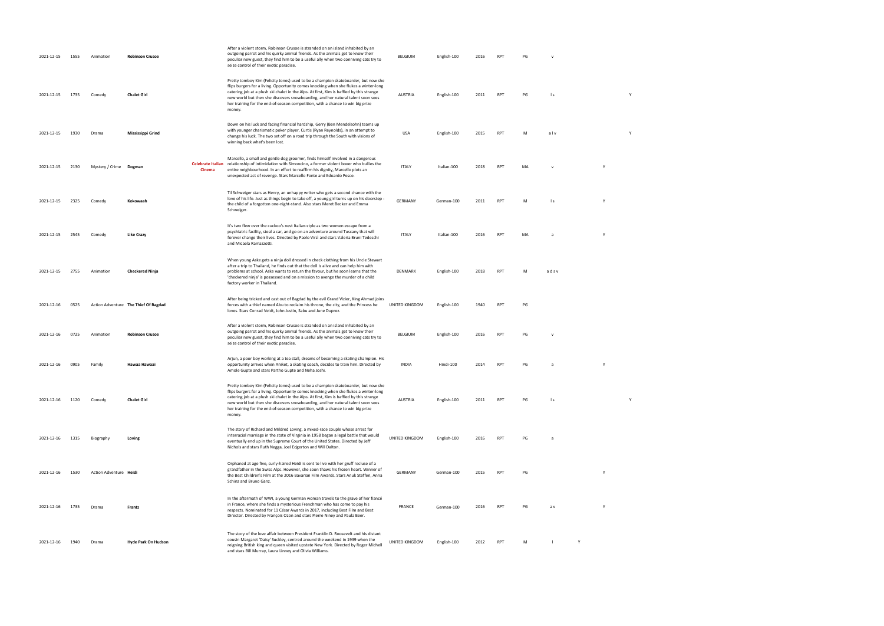| 2021-12-15 | 1555 | Animation              | <b>Robinson Crusoe</b>               |        | After a violent storm, Robinson Crusoe is stranded on an island inhabited by an<br>outgoing parrot and his quirky animal friends. As the animals get to know their<br>peculiar new guest, they find him to be a useful ally when two conniving cats try to<br>seize control of their exotic paradise.                                                                                                                                                 | BELGIUM        | English-100 | 2016 | RPT        | PG |              |   |   |  |  |
|------------|------|------------------------|--------------------------------------|--------|-------------------------------------------------------------------------------------------------------------------------------------------------------------------------------------------------------------------------------------------------------------------------------------------------------------------------------------------------------------------------------------------------------------------------------------------------------|----------------|-------------|------|------------|----|--------------|---|---|--|--|
| 2021-12-15 | 1735 | Comedy                 | <b>Chalet Girl</b>                   |        | Pretty tomboy Kim (Felicity Jones) used to be a champion skateboarder, but now she<br>flips burgers for a living. Opportunity comes knocking when she flukes a winter-long<br>catering job at a plush ski chalet in the Alps. At first, Kim is baffled by this strange<br>new world but then she discovers snowboarding, and her natural talent soon sees<br>her training for the end-of-season competition, with a chance to win big prize<br>money. | <b>AUSTRIA</b> | English-100 | 2011 | <b>RPT</b> | PG | l s          |   | Y |  |  |
| 2021-12-15 | 1930 | Drama                  | Mississippi Grind                    |        | Down on his luck and facing financial hardship, Gerry (Ben Mendelsohn) teams up<br>with younger charismatic poker player, Curtis (Ryan Reynolds), in an attempt to<br>change his luck. The two set off on a road trip through the South with visions of<br>winning back what's been lost.                                                                                                                                                             | USA            | English-100 | 2015 | <b>RPT</b> | M  | alv          |   | Y |  |  |
| 2021-12-15 | 2130 | Mystery / Crime Dogman |                                      | Cinema | Marcello, a small and gentle dog groomer, finds himself involved in a dangerous<br>Celebrate Italian relationship of intimidation with Simoncino, a former violent boxer who bullies the<br>entire neighbourhood. In an effort to reaffirm his dignity, Marcello plots an<br>unexpected act of revenge. Stars Marcello Fonte and Edoardo Pesce.                                                                                                       | <b>ITALY</b>   | Italian-100 | 2018 | <b>RPT</b> | MA |              | Y |   |  |  |
| 2021-12-15 | 2325 | Comedy                 | Kokowaah                             |        | Til Schweiger stars as Henry, an unhappy writer who gets a second chance with the<br>love of his life. Just as things begin to take off, a young girl turns up on his doorstep -<br>the child of a forgotten one-night-stand. Also stars Meret Becker and Emma<br>Schweiger.                                                                                                                                                                          | GERMANY        | German-100  | 2011 | <b>RPT</b> | M  | $\mathsf{I}$ | Y |   |  |  |
| 2021-12-15 | 2545 | Comedy                 | <b>Like Crazy</b>                    |        | It's two flew over the cuckoo's nest Italian-style as two women escape from a<br>psychiatric facility, steal a car, and go on an adventure around Tuscany that will<br>forever change their lives. Directed by Paolo Virzì and stars Valeria Bruni Tedeschi<br>and Micaela Ramazzotti.                                                                                                                                                                | <b>ITALY</b>   | Italian-100 | 2016 | <b>RPT</b> | MA | a            | Y |   |  |  |
| 2021-12-15 | 2755 | Animation              | <b>Checkered Ninja</b>               |        | When young Aske gets a ninja doll dressed in check clothing from his Uncle Stewart<br>after a trip to Thailand, he finds out that the doll is alive and can help him with<br>problems at school. Aske wants to return the favour, but he soon learns that the<br>'checkered ninja' is possessed and on a mission to avenge the murder of a child<br>factory worker in Thailand.                                                                       | DENMARK        | English-100 | 2018 | <b>RPT</b> | M  | adsv         |   |   |  |  |
| 2021-12-16 | 0525 |                        | Action Adventure The Thief Of Bagdad |        | After being tricked and cast out of Bagdad by the evil Grand Vizier, King Ahmad joins<br>forces with a thief named Abu to reclaim his throne, the city, and the Princess he<br>loves. Stars Conrad Veidt, John Justin, Sabu and June Duprez.                                                                                                                                                                                                          | UNITED KINGDOM | English-100 | 1940 | <b>RPT</b> | PG |              |   |   |  |  |
| 2021-12-16 | 0725 | Animation              | <b>Robinson Crusoe</b>               |        | After a violent storm, Robinson Crusoe is stranded on an island inhabited by an<br>outgoing parrot and his quirky animal friends. As the animals get to know their<br>peculiar new guest, they find him to be a useful ally when two conniving cats try to<br>seize control of their exotic paradise.                                                                                                                                                 | BELGIUM        | English-100 | 2016 | RPT        | PG |              |   |   |  |  |
| 2021-12-16 | 0905 | Family                 | Hawaa Hawaai                         |        | Arjun, a poor boy working at a tea stall, dreams of becoming a skating champion. His<br>opportunity arrives when Aniket, a skating coach, decides to train him. Directed by<br>Amole Gupte and stars Partho Gupte and Neha Joshi.                                                                                                                                                                                                                     | INDIA          | Hindi-100   | 2014 | RPT        | PG | a            | Y |   |  |  |
| 2021-12-16 | 1120 | Comedy                 | <b>Chalet Girl</b>                   |        | Pretty tomboy Kim (Felicity Jones) used to be a champion skateboarder, but now she<br>flips burgers for a living. Opportunity comes knocking when she flukes a winter-long<br>catering job at a plush ski chalet in the Alps. At first, Kim is baffled by this strange<br>new world but then she discovers snowboarding, and her natural talent soon sees<br>her training for the end-of-season competition, with a chance to win big prize<br>money. | AUSTRIA        | English-100 | 2011 | RPT        | PG | $\mathsf{I}$ |   | Y |  |  |
| 2021-12-16 | 1315 | Biography              | Loving                               |        | The story of Richard and Mildred Loving, a mixed-race couple whose arrest for<br>interracial marriage in the state of Virginia in 1958 began a legal battle that would<br>eventually end up in the Supreme Court of the United States. Directed by Jeff<br>Nichols and stars Ruth Negga, Joel Edgerton and Will Dalton.                                                                                                                               | UNITED KINGDOM | English-100 | 2016 | RPT        | PG | a            |   |   |  |  |
| 2021-12-16 | 1530 | Action Adventure Heidi |                                      |        | Orphaned at age five, curly-haired Heidi is sent to live with her gruff recluse of a<br>grandfather in the Swiss Alps. However, she soon thaws his frozen heart. Winner of<br>the Best Children's Film at the 2016 Bavarian Film Awards. Stars Anuk Steffen, Anna<br>Schinz and Bruno Ganz.                                                                                                                                                           | GERMANY        | German-100  | 2015 | RPT        | PG |              | Y |   |  |  |
| 2021-12-16 | 1735 | Drama                  | Frantz                               |        | In the aftermath of WWI, a young German woman travels to the grave of her fiancé<br>in France, where she finds a mysterious Frenchman who has come to pay his<br>respects. Nominated for 11 César Awards in 2017, including Best Film and Best<br>Director. Directed by François Ozon and stars Pierre Niney and Paula Beer.                                                                                                                          | <b>FRANCE</b>  | German-100  | 2016 | RPT        | PG | a v          | Y |   |  |  |
| 2021-12-16 | 1940 | Drama                  | Hyde Park On Hudson                  |        | The story of the love affair between President Franklin D. Roosevelt and his distant<br>cousin Margaret 'Daisy' Suckley, centred around the weekend in 1939 when the<br>reigning British king and queen visited upstate New York. Directed by Roger Michell<br>and stars Bill Murray, Laura Linney and Olivia Williams.                                                                                                                               | UNITED KINGDOM | English-100 | 2012 | RPT        | M  |              |   |   |  |  |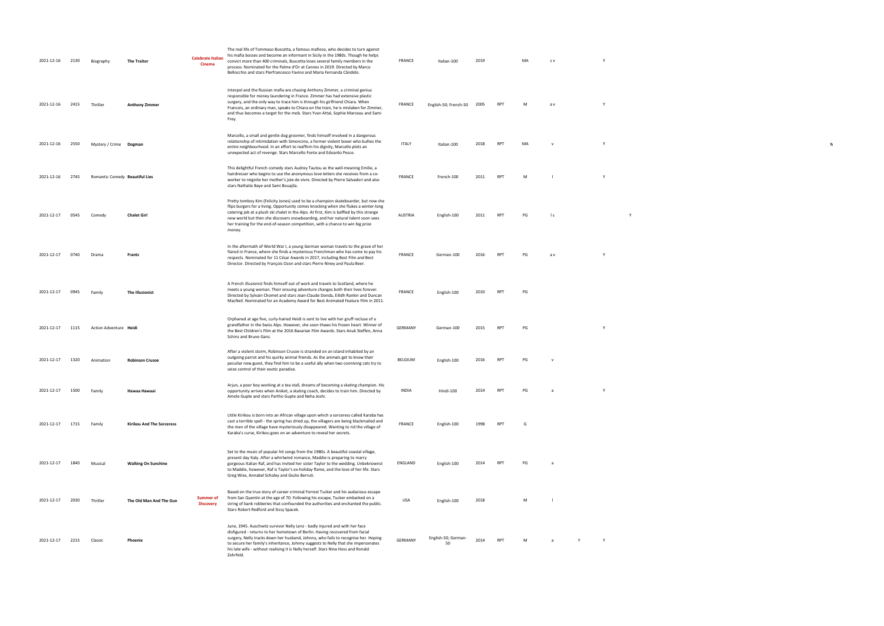| 2021-12-16 | 2130 | Biography                      | <b>The Traitor</b>         | <b>Celebrate Italian</b><br>Cinema   | The real life of Tommaso Buscetta, a famous mafioso, who decides to turn against<br>his mafia bosses and become an informant in Sicily in the 1980s. Though he helps<br>convict more than 400 criminals, Buscetta loses several family members in the<br>process. Nominated for the Palme d'Or at Cannes in 2019. Directed by Marco<br>Bellocchio and stars Pierfrancesco Favino and Maria Fernanda Cândido.                                          | <b>FRANCE</b> | Italian-100               | 2019 |                 | MA | S V          |   | Y            |  |  |
|------------|------|--------------------------------|----------------------------|--------------------------------------|-------------------------------------------------------------------------------------------------------------------------------------------------------------------------------------------------------------------------------------------------------------------------------------------------------------------------------------------------------------------------------------------------------------------------------------------------------|---------------|---------------------------|------|-----------------|----|--------------|---|--------------|--|--|
| 2021-12-16 | 2415 | Thriller                       | <b>Anthony Zimmer</b>      |                                      | Interpol and the Russian mafia are chasing Anthony Zimmer, a criminal genius<br>responsible for money laundering in France. Zimmer has had extensive plastic<br>surgery, and the only way to trace him is through his girlfriend Chiara. When<br>Francois, an ordinary man, speaks to Chiara on the train, he is mistaken for Zimmer,<br>and thus becomes a target for the mob. Stars Yvan Attal, Sophie Marceau and Sami<br>Frey.                    | <b>FRANCE</b> | English-50; French-50     | 2005 | <b>RPT</b>      | M  | a v          |   | Y            |  |  |
| 2021-12-16 | 2550 | Mystery / Crime Dogman         |                            |                                      | Marcello, a small and gentle dog groomer, finds himself involved in a dangerous<br>relationship of intimidation with Simoncino, a former violent boxer who bullies the<br>entire neighbourhood. In an effort to reaffirm his dignity, Marcello plots an<br>unexpected act of revenge. Stars Marcello Fonte and Edoardo Pesce.                                                                                                                         | <b>ITALY</b>  | Italian-100               | 2018 | RPT             | MA |              |   | Y            |  |  |
| 2021-12-16 | 2745 | Romantic Comedy Beautiful Lies |                            |                                      | This delightful French comedy stars Audrey Tautou as the well-meaning Emilie, a<br>hairdresser who begins to use the anonymous love letters she receives from a co-<br>worker to reignite her mother's joie de vivre. Directed by Pierre Salvadori and also<br>stars Nathalie Baye and Sami Bouajila.                                                                                                                                                 | <b>FRANCE</b> | French-100                | 2011 | <b>RPT</b>      | M  |              |   | Y            |  |  |
| 2021-12-17 | 0545 | Comedy                         | <b>Chalet Girl</b>         |                                      | Pretty tomboy Kim (Felicity Jones) used to be a champion skateboarder, but now she<br>flips burgers for a living. Opportunity comes knocking when she flukes a winter-long<br>catering job at a plush ski chalet in the Alps. At first, Kim is baffled by this strange<br>new world but then she discovers snowboarding, and her natural talent soon sees<br>her training for the end-of-season competition, with a chance to win big prize<br>money. | AUSTRIA       | English-100               | 2011 | <b>RPT</b>      | PG | l s          |   | Y            |  |  |
| 2021-12-17 | 0740 | Drama                          | Frantz                     |                                      | In the aftermath of World War I, a young German woman travels to the grave of her<br>fiancé in France, where she finds a mysterious Frenchman who has come to pay his<br>respects. Nominated for 11 César Awards in 2017, including Best Film and Best<br>Director. Directed by François Ozon and stars Pierre Niney and Paula Beer.                                                                                                                  | <b>FRANCE</b> | German-100                | 2016 | <b>RPT</b>      | PG | a v          |   | <sup>V</sup> |  |  |
| 2021-12-17 | 0945 | Family                         | The Illusionist            |                                      | A French illusionist finds himself out of work and travels to Scotland, where he<br>meets a young woman. Their ensuing adventure changes both their lives forever.<br>Directed by Sylvain Chomet and stars Jean-Claude Donda, Eilidh Rankin and Duncan<br>MacNeil. Nominated for an Academy Award for Best Animated Feature Film in 2011.                                                                                                             | FRANCE        | English-100               | 2010 | RPT             | PG |              |   |              |  |  |
| 2021-12-17 | 1115 | Action Adventure Heidi         |                            |                                      | Orphaned at age five, curly-haired Heidi is sent to live with her gruff recluse of a<br>grandfather in the Swiss Alps. However, she soon thaws his frozen heart. Winner of<br>the Best Children's Film at the 2016 Bavarian Film Awards. Stars Anuk Steffen, Anna<br>Schinz and Bruno Ganz.                                                                                                                                                           | GERMANY       | German-100                | 2015 | RPT             | PG |              |   | Y            |  |  |
| 2021-12-17 | 1320 | Animation                      | <b>Robinson Crusoe</b>     |                                      | After a violent storm, Robinson Crusoe is stranded on an island inhabited by an<br>outgoing parrot and his quirky animal friends. As the animals get to know their<br>peculiar new guest, they find him to be a useful ally when two conniving cats try to<br>seize control of their exotic paradise.                                                                                                                                                 | BELGIUM       | English-100               | 2016 | RPT             | PG |              |   |              |  |  |
| 2021-12-17 | 1500 | Family                         | Hawaa Hawaai               |                                      | Arjun, a poor boy working at a tea stall, dreams of becoming a skating champion. His<br>opportunity arrives when Aniket, a skating coach, decides to train him. Directed by<br>Amole Gupte and stars Partho Gupte and Neha Joshi.                                                                                                                                                                                                                     | <b>INDIA</b>  | Hindi-100                 | 2014 | RP <sup>-</sup> | PG |              |   |              |  |  |
| 2021-12-17 | 1715 | Family                         | Kirikou And The Sorceress  |                                      | Little Kirikou is born into an African village upon which a sorceress called Karaba has<br>cast a terrible spell - the spring has dried up, the villagers are being blackmailed and<br>the men of the village have mysteriously disappeared. Wanting to rid the village of<br>Karaba's curse, Kirikou goes on an adventure to reveal her secrets.                                                                                                     | <b>FRANCE</b> | English-100               | 1998 | RPT             | G  |              |   |              |  |  |
| 2021-12-17 | 1840 | Musical                        | <b>Walking On Sunshine</b> |                                      | Set to the music of popular hit songs from the 1980s. A beautiful coastal village,<br>present day Italy. After a whirlwind romance, Maddie is preparing to marry<br>gorgeous Italian Raf, and has invited her sister Taylor to the wedding. Unbeknownst<br>to Maddie, however, Raf is Taylor's ex-holiday flame, and the love of her life. Stars<br>Greg Wise, Annabel Scholey and Giulio Berruti.                                                    | ENGLAND       | English-100               | 2014 | <b>RPT</b>      | PG | a            |   |              |  |  |
| 2021-12-17 | 2030 | Thriller                       | The Old Man And The Gun    | <b>Summer of</b><br><b>Discovery</b> | Based on the true story of career criminal Forrest Tucker and his audacious escape<br>from San Quentin at the age of 70. Following his escape, Tucker embarked on a<br>string of bank robberies that confounded the authorities and enchanted the public.<br>Stars Robert Redford and Sissy Spacek.                                                                                                                                                   | USA           | English-100               | 2018 |                 | M  |              |   |              |  |  |
| 2021-12-17 | 2215 | Classic                        | Phoenix                    |                                      | June, 1945. Auschwitz survivor Nelly Lenz - badly injured and with her face<br>disfigured - returns to her hometown of Berlin. Having recovered from facial<br>surgery, Nelly tracks down her husband, Johnny, who fails to recognise her. Hoping<br>to secure her family's inheritance, Johnny suggests to Nelly that she impersonates<br>his late wife - without realising it is Nelly herself. Stars Nina Hoss and Ronald<br>Zehrfeld.             | GERMANY       | English-50; German-<br>50 | 2014 | <b>RPT</b>      | M  | <sub>a</sub> | Y | Y            |  |  |

 $\mathbf{h}$